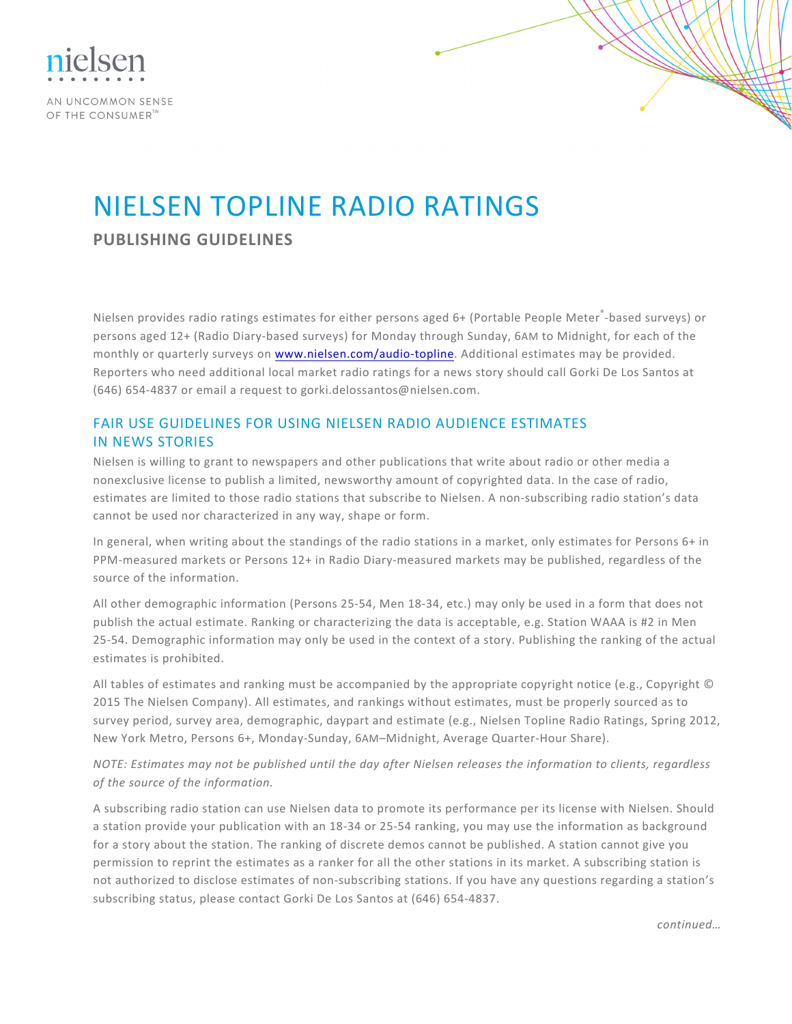

AN UNCOMMON SENSE OF THE CONSUMER<sup>TA</sup>

## NIELSEN TOPLINE RADIO RATINGS

**PUBLISHING GUIDELINES**

Nielsen provides radio ratings estimates for either persons aged 6+ (Portable People Meter<sup>®</sup>-based surveys) or persons aged 12+ (Radio Diary-based surveys) for Monday through Sunday, 6AM to Midnight, for each of the monthly or quarterly surveys on [www.nielsen.com/audio-topline.](http://www.arbitron.com/home/ratings.htm) Additional estimates may be provided. Reporters who need additional local market radio ratings for a news story should call Gorki De Los Santos at (646) 654-4837 or email a request to gorki.delossantos@nielsen.com.

## FAIR USE GUIDELINES FOR USING NIELSEN RADIO AUDIENCE ESTIMATES IN NEWS STORIES

Nielsen is willing to grant to newspapers and other publications that write about radio or other media a nonexclusive license to publish a limited, newsworthy amount of copyrighted data. In the case of radio, estimates are limited to those radio stations that subscribe to Nielsen. A non-subscribing radio station's data cannot be used nor characterized in any way, shape or form.

In general, when writing about the standings of the radio stations in a market, only estimates for Persons 6+ in PPM-measured markets or Persons 12+ in Radio Diary-measured markets may be published, regardless of the source of the information.

All other demographic information (Persons 25-54, Men 18-34, etc.) may only be used in a form that does not publish the actual estimate. Ranking or characterizing the data is acceptable, e.g. Station WAAA is #2 in Men 25-54. Demographic information may only be used in the context of a story. Publishing the ranking of the actual estimates is prohibited.

All tables of estimates and ranking must be accompanied by the appropriate copyright notice (e.g., Copyright © 2015 The Nielsen Company). All estimates, and rankings without estimates, must be properly sourced as to survey period, survey area, demographic, daypart and estimate (e.g., Nielsen Topline Radio Ratings, Spring 2012, New York Metro, Persons 6+, Monday-Sunday, 6AM–Midnight, Average Quarter-Hour Share).

*NOTE:* Estimates may not be published until the day after Nielsen releases the information to clients, regardless of the source of the information.

A subscribing radio station can use Nielsen data to promote its performance per its license with Nielsen. Should a station provide your publication with an 18-34 or 25-54 ranking, you may use the information as background for a story about the station. The ranking of discrete demos cannot be published. A station cannot give you permission to reprint the estimates as a ranker for all the other stations in its market. A subscribing station is not authorized to disclose estimates of non-subscribing stations. If you have any questions regarding a station's subscribing status, please contact Gorki De Los Santos at (646) 654-4837.

*continued…*